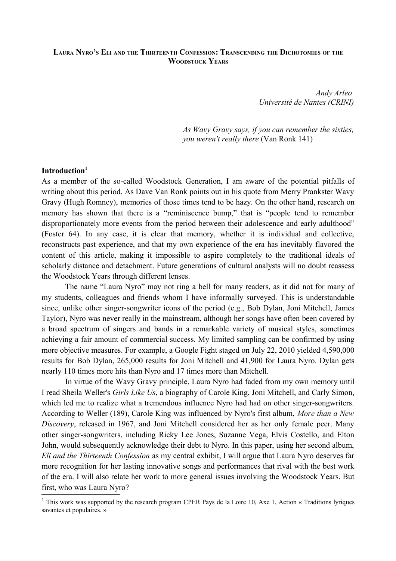## LAURA NYRO'S ELI AND THE THIRTEENTH CONFESSION: TRANSCENDING THE DICHOTOMIES OF THE **WOODSTOCK YEARS**

*Andy Arleo Université de Nantes (CRINI)*

*As Wavy Gravy says, if you can remember the sixties, you weren't really there* (Van Ronk 141)

#### **Introduction[1](#page-0-0)**

As a member of the so-called Woodstock Generation, I am aware of the potential pitfalls of writing about this period. As Dave Van Ronk points out in his quote from Merry Prankster Wavy Gravy (Hugh Romney), memories of those times tend to be hazy. On the other hand, research on memory has shown that there is a "reminiscence bump," that is "people tend to remember disproportionately more events from the period between their adolescence and early adulthood" (Foster 64). In any case, it is clear that memory, whether it is individual and collective, reconstructs past experience, and that my own experience of the era has inevitably flavored the content of this article, making it impossible to aspire completely to the traditional ideals of scholarly distance and detachment. Future generations of cultural analysts will no doubt reassess the Woodstock Years through different lenses.

The name "Laura Nyro" may not ring a bell for many readers, as it did not for many of my students, colleagues and friends whom I have informally surveyed. This is understandable since, unlike other singer-songwriter icons of the period (e.g., Bob Dylan, Joni Mitchell, James Taylor), Nyro was never really in the mainstream, although her songs have often been covered by a broad spectrum of singers and bands in a remarkable variety of musical styles, sometimes achieving a fair amount of commercial success. My limited sampling can be confirmed by using more objective measures. For example, a Google Fight staged on July 22, 2010 yielded 4,590,000 results for Bob Dylan, 265,000 results for Joni Mitchell and 41,900 for Laura Nyro. Dylan gets nearly 110 times more hits than Nyro and 17 times more than Mitchell.

In virtue of the Wavy Gravy principle, Laura Nyro had faded from my own memory until I read Sheila Weller's *Girls Like Us*, a biography of Carole King, Joni Mitchell, and Carly Simon, which led me to realize what a tremendous influence Nyro had had on other singer-songwriters. According to Weller (189), Carole King was influenced by Nyro's first album, *More than a New Discovery*, released in 1967, and Joni Mitchell considered her as her only female peer. Many other singer-songwriters, including Ricky Lee Jones, Suzanne Vega, Elvis Costello, and Elton John, would subsequently acknowledge their debt to Nyro. In this paper, using her second album, *Eli and the Thirteenth Confession* as my central exhibit, I will argue that Laura Nyro deserves far more recognition for her lasting innovative songs and performances that rival with the best work of the era. I will also relate her work to more general issues involving the Woodstock Years. But first, who was Laura Nyro?

<span id="page-0-0"></span> $1$  This work was supported by the research program CPER Pays de la Loire 10, Axe 1, Action « Traditions lyriques savantes et populaires. »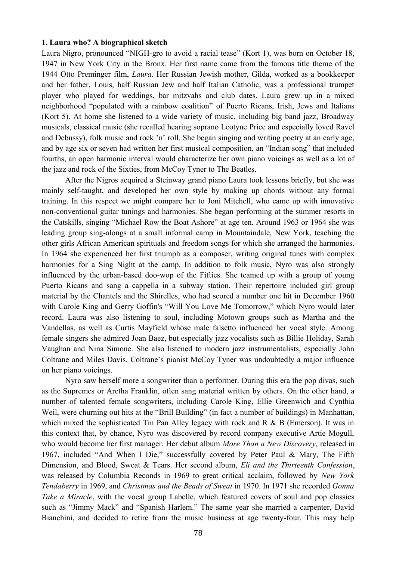#### **1. Laura who? A biographical sketch**

Laura Nigro, pronounced "NIGH-gro to avoid a racial tease" (Kort 1), was born on October 18, 1947 in New York City in the Bronx. Her first name came from the famous title theme of the 1944 Otto Preminger film, *Laura*. Her Russian Jewish mother, Gilda, worked as a bookkeeper and her father, Louis, half Russian Jew and half Italian Catholic, was a professional trumpet player who played for weddings, bar mitzvahs and club dates. Laura grew up in a mixed neighborhood "populated with a rainbow coalition" of Puerto Ricans, Irish, Jews and Italians (Kort 5). At home she listened to a wide variety of music, including big band jazz, Broadway musicals, classical music (she recalled hearing soprano Leotyne Price and especially loved Ravel and Debussy), folk music and rock 'n' roll. She began singing and writing poetry at an early age, and by age six or seven had written her first musical composition, an "Indian song" that included fourths, an open harmonic interval would characterize her own piano voicings as well as a lot of the jazz and rock of the Sixties, from McCoy Tyner to The Beatles.

After the Nigros acquired a Steinway grand piano Laura took lessons briefly, but she was mainly self-taught, and developed her own style by making up chords without any formal training. In this respect we might compare her to Joni Mitchell, who came up with innovative non-conventional guitar tunings and harmonies. She began performing at the summer resorts in the Catskills, singing "Michael Row the Boat Ashore" at age ten. Around 1963 or 1964 she was leading group sing-alongs at a small informal camp in Mountaindale, New York, teaching the other girls African American spirituals and freedom songs for which she arranged the harmonies. In 1964 she experienced her first triumph as a composer, writing original tunes with complex harmonies for a Sing Night at the camp. In addition to folk music, Nyro was also strongly influenced by the urban-based doo-wop of the Fifties. She teamed up with a group of young Puerto Ricans and sang a cappella in a subway station. Their repertoire included girl group material by the Chantels and the Shirelles, who had scored a number one hit in December 1960 with Carole King and Gerry Goffin's "Will You Love Me Tomorrow," which Nyro would later record. Laura was also listening to soul, including Motown groups such as Martha and the Vandellas, as well as Curtis Mayfield whose male falsetto influenced her vocal style. Among female singers she admired Joan Baez, but especially jazz vocalists such as Billie Holiday, Sarah Vaughan and Nina Simone. She also listened to modern jazz instrumentalists, especially John Coltrane and Miles Davis. Coltrane's pianist McCoy Tyner was undoubtedly a major influence on her piano voicings.

Nyro saw herself more a songwriter than a performer. During this era the pop divas, such as the Supremes or Aretha Franklin, often sang material written by others. On the other hand, a number of talented female songwriters, including Carole King, Ellie Greenwich and Cynthia Weil, were churning out hits at the "Brill Building" (in fact a number of buildings) in Manhattan, which mixed the sophisticated Tin Pan Alley legacy with rock and R  $\&$  B (Emerson). It was in this context that, by chance, Nyro was discovered by record company executive Artie Mogull, who would become her first manager. Her debut album *More Than a New Discovery*, released in 1967, included "And When I Die," successfully covered by Peter Paul & Mary, The Fifth Dimension, and Blood, Sweat & Tears. Her second album, *Eli and the Thirteenth Confession*, was released by Columbia Reconds in 1969 to great critical acclaim, followed by *New York Tendaberry* in 1969, and *Christmas and the Beads of Sweat* in 1970. In 1971 she recorded *Gonna Take a Miracle*, with the vocal group Labelle, which featured covers of soul and pop classics such as "Jimmy Mack" and "Spanish Harlem." The same year she married a carpenter, David Bianchini, and decided to retire from the music business at age twenty-four. This may help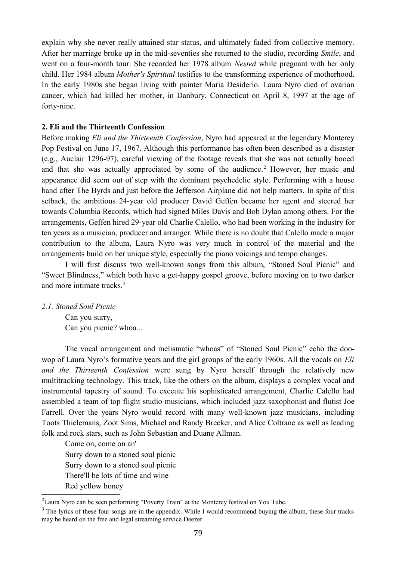explain why she never really attained star status, and ultimately faded from collective memory. After her marriage broke up in the mid-seventies she returned to the studio, recording *Smile*, and went on a four-month tour. She recorded her 1978 album *Nested* while pregnant with her only child. Her 1984 album *Mother's Spiritual* testifies to the transforming experience of motherhood. In the early 1980s she began living with painter Maria Desiderio. Laura Nyro died of ovarian cancer, which had killed her mother, in Danbury, Connecticut on April 8, 1997 at the age of forty-nine.

## **2. Eli and the Thirteenth Confession**

Before making *Eli and the Thirteenth Confession*, Nyro had appeared at the legendary Monterey Pop Festival on June 17, 1967. Although this performance has often been described as a disaster (e.g., Auclair 1296-97), careful viewing of the footage reveals that she was not actually booed and that she was actually appreciated by some of the audience.<sup>[2](#page-2-0)</sup> However, her music and appearance did seem out of step with the dominant psychedelic style. Performing with a house band after The Byrds and just before the Jefferson Airplane did not help matters. In spite of this setback, the ambitious 24-year old producer David Geffen became her agent and steered her towards Columbia Records, which had signed Miles Davis and Bob Dylan among others. For the arrangements, Geffen hired 29-year old Charlie Calello, who had been working in the industry for ten years as a musician, producer and arranger. While there is no doubt that Calello made a major contribution to the album, Laura Nyro was very much in control of the material and the arrangements build on her unique style, especially the piano voicings and tempo changes.

I will first discuss two well-known songs from this album, "Stoned Soul Picnic" and "Sweet Blindness," which both have a get-happy gospel groove, before moving on to two darker and more intimate tracks.[3](#page-2-1)

*2.1. Stoned Soul Picnic*

Can you surry, Can you picnic? whoa...

The vocal arrangement and melismatic "whoas" of "Stoned Soul Picnic" echo the doowop of Laura Nyro's formative years and the girl groups of the early 1960s. All the vocals on *Eli and the Thirteenth Confession* were sung by Nyro herself through the relatively new multitracking technology. This track, like the others on the album, displays a complex vocal and instrumental tapestry of sound. To execute his sophisticated arrangement, Charlie Calello had assembled a team of top flight studio musicians, which included jazz saxophonist and flutist Joe Farrell. Over the years Nyro would record with many well-known jazz musicians, including Toots Thielemans, Zoot Sims, Michael and Randy Brecker, and Alice Coltrane as well as leading folk and rock stars, such as John Sebastian and Duane Allman.

Come on, come on an' Surry down to a stoned soul picnic Surry down to a stoned soul picnic There'll be lots of time and wine Red yellow honey

<span id="page-2-0"></span> ${}^{2}$ Laura Nyro can be seen performing "Poverty Train" at the Monterey festival on You Tube.

<span id="page-2-1"></span> $3$  The lyrics of these four songs are in the appendix. While I would recommend buying the album, these four tracks may be heard on the free and legal streaming service Deezer.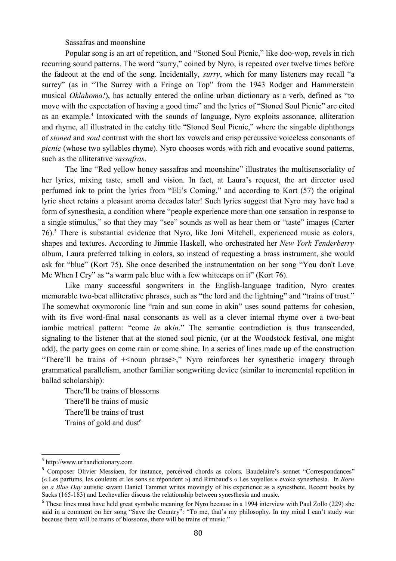Sassafras and moonshine

Popular song is an art of repetition, and "Stoned Soul Picnic," like doo-wop, revels in rich recurring sound patterns. The word "surry," coined by Nyro, is repeated over twelve times before the fadeout at the end of the song. Incidentally, *surry*, which for many listeners may recall "a surrey" (as in "The Surrey with a Fringe on Top" from the 1943 Rodger and Hammerstein musical *Oklahoma!*), has actually entered the online urban dictionary as a verb, defined as "to move with the expectation of having a good time" and the lyrics of "Stoned Soul Picnic" are cited as an example.<sup>[4](#page-3-0)</sup> Intoxicated with the sounds of language, Nyro exploits assonance, alliteration and rhyme, all illustrated in the catchy title "Stoned Soul Picnic," where the singable diphthongs of *stoned* and *soul* contrast with the short lax vowels and crisp percussive voiceless consonants of *picnic* (whose two syllables rhyme). Nyro chooses words with rich and evocative sound patterns, such as the alliterative *sassafras*.

The line "Red yellow honey sassafras and moonshine" illustrates the multisensoriality of her lyrics, mixing taste, smell and vision. In fact, at Laura's request, the art director used perfumed ink to print the lyrics from "Eli's Coming," and according to Kort (57) the original lyric sheet retains a pleasant aroma decades later! Such lyrics suggest that Nyro may have had a form of synesthesia, a condition where "people experience more than one sensation in response to a single stimulus," so that they may "see" sounds as well as hear them or "taste" images (Carter 76).[5](#page-3-1) There is substantial evidence that Nyro, like Joni Mitchell, experienced music as colors, shapes and textures. According to Jimmie Haskell, who orchestrated her *New York Tenderberry* album, Laura preferred talking in colors, so instead of requesting a brass instrument, she would ask for "blue" (Kort 75). She once described the instrumentation on her song "You don't Love Me When I Cry" as "a warm pale blue with a few whitecaps on it" (Kort 76).

Like many successful songwriters in the English-language tradition, Nyro creates memorable two-beat alliterative phrases, such as "the lord and the lightning" and "trains of trust." The somewhat oxymoronic line "rain and sun come in akin" uses sound patterns for cohesion, with its five word-final nasal consonants as well as a clever internal rhyme over a two-beat iambic metrical pattern: "come *in* ak*in*." The semantic contradiction is thus transcended, signaling to the listener that at the stoned soul picnic, (or at the Woodstock festival, one might add), the party goes on come rain or come shine. In a series of lines made up of the construction "There'll be trains of  $+\text{3}$  +  $\text{4}$  +  $\text{5}$  +  $\text{5}$  +  $\text{6}$  +  $\text{6}$  +  $\text{6}$  +  $\text{6}$  +  $\text{6}$  +  $\text{6}$  +  $\text{6}$  +  $\text{6}$  +  $\text{6}$  +  $\text{6}$  +  $\text{6}$  +  $\text{6}$  +  $\text{6}$  +  $\text{6}$  +  $\text{6}$  +  $\text{6}$  grammatical parallelism, another familiar songwriting device (similar to incremental repetition in ballad scholarship):

There'll be trains of blossoms There'll be trains of music There'll be trains of trust Trains of gold and dust $6$ 

<span id="page-3-0"></span><sup>4</sup> http://www.urbandictionary.com

<span id="page-3-1"></span><sup>&</sup>lt;sup>5</sup> Composer Olivier Messiaen, for instance, perceived chords as colors. Baudelaire's sonnet "Correspondances" (« Les parfums, les couleurs et les sons se répondent ») and Rimbaud's « Les voyelles » evoke synesthesia. In *Born on a Blue Day* autistic savant Daniel Tammet writes movingly of his experience as a synesthete. Recent books by Sacks (165-183) and Lechevalier discuss the relationship between synesthesia and music.

<span id="page-3-2"></span><sup>&</sup>lt;sup>6</sup> These lines must have held great symbolic meaning for Nyro because in a 1994 interview with Paul Zollo (229) she said in a comment on her song "Save the Country": "To me, that's my philosophy. In my mind I can't study war because there will be trains of blossoms, there will be trains of music."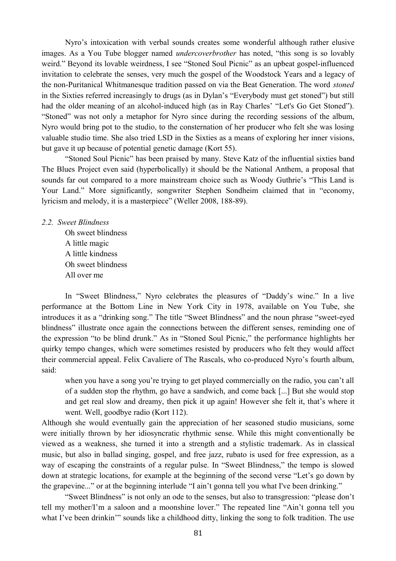Nyro's intoxication with verbal sounds creates some wonderful although rather elusive images. As a You Tube blogger named *undercoverbrother* has noted, "this song is so lovably weird." Beyond its lovable weirdness, I see "Stoned Soul Picnic" as an upbeat gospel-influenced invitation to celebrate the senses, very much the gospel of the Woodstock Years and a legacy of the non-Puritanical Whitmanesque tradition passed on via the Beat Generation. The word *stoned* in the Sixties referred increasingly to drugs (as in Dylan's "Everybody must get stoned") but still had the older meaning of an alcohol-induced high (as in Ray Charles' "Let's Go Get Stoned"). "Stoned" was not only a metaphor for Nyro since during the recording sessions of the album, Nyro would bring pot to the studio, to the consternation of her producer who felt she was losing valuable studio time. She also tried LSD in the Sixties as a means of exploring her inner visions, but gave it up because of potential genetic damage (Kort 55).

"Stoned Soul Picnic" has been praised by many. Steve Katz of the influential sixties band The Blues Project even said (hyperbolically) it should be the National Anthem, a proposal that sounds far out compared to a more mainstream choice such as Woody Guthrie's "This Land is Your Land." More significantly, songwriter Stephen Sondheim claimed that in "economy, lyricism and melody, it is a masterpiece" (Weller 2008, 188-89).

*2.2. Sweet Blindness*

Oh sweet blindness A little magic A little kindness Oh sweet blindness All over me

In "Sweet Blindness," Nyro celebrates the pleasures of "Daddy's wine." In a live performance at the Bottom Line in New York City in 1978, available on You Tube, she introduces it as a "drinking song." The title "Sweet Blindness" and the noun phrase "sweet-eyed blindness" illustrate once again the connections between the different senses, reminding one of the expression "to be blind drunk." As in "Stoned Soul Picnic," the performance highlights her quirky tempo changes, which were sometimes resisted by producers who felt they would affect their commercial appeal. Felix Cavaliere of The Rascals, who co-produced Nyro's fourth album, said:

when you have a song you're trying to get played commercially on the radio, you can't all of a sudden stop the rhythm, go have a sandwich, and come back [...] But she would stop and get real slow and dreamy, then pick it up again! However she felt it, that's where it went. Well, goodbye radio (Kort 112).

Although she would eventually gain the appreciation of her seasoned studio musicians, some were initially thrown by her idiosyncratic rhythmic sense. While this might conventionally be viewed as a weakness, she turned it into a strength and a stylistic trademark. As in classical music, but also in ballad singing, gospel, and free jazz, rubato is used for free expression, as a way of escaping the constraints of a regular pulse. In "Sweet Blindness," the tempo is slowed down at strategic locations, for example at the beginning of the second verse "Let's go down by the grapevine..." or at the beginning interlude "I ain't gonna tell you what I've been drinking."

"Sweet Blindness" is not only an ode to the senses, but also to transgression: "please don't tell my mother/I'm a saloon and a moonshine lover." The repeated line "Ain't gonna tell you what I've been drinkin'" sounds like a childhood ditty, linking the song to folk tradition. The use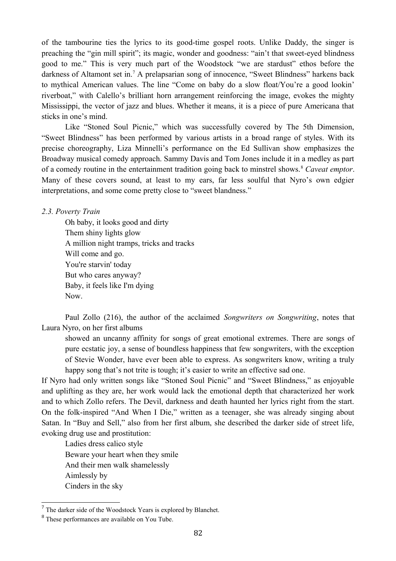of the tambourine ties the lyrics to its good-time gospel roots. Unlike Daddy, the singer is preaching the "gin mill spirit"; its magic, wonder and goodness: "ain't that sweet-eyed blindness good to me." This is very much part of the Woodstock "we are stardust" ethos before the darkness of Altamont set in.<sup>[7](#page-5-0)</sup> A prelapsarian song of innocence, "Sweet Blindness" harkens back to mythical American values. The line "Come on baby do a slow float/You're a good lookin' riverboat," with Calello's brilliant horn arrangement reinforcing the image, evokes the mighty Mississippi, the vector of jazz and blues. Whether it means, it is a piece of pure Americana that sticks in one's mind.

Like "Stoned Soul Picnic," which was successfully covered by The 5th Dimension, "Sweet Blindness" has been performed by various artists in a broad range of styles. With its precise choreography, Liza Minnelli's performance on the Ed Sullivan show emphasizes the Broadway musical comedy approach. Sammy Davis and Tom Jones include it in a medley as part of a comedy routine in the entertainment tradition going back to minstrel shows.[8](#page-5-1) *Caveat emptor*. Many of these covers sound, at least to my ears, far less soulful that Nyro's own edgier interpretations, and some come pretty close to "sweet blandness."

*2.3. Poverty Train*

Oh baby, it looks good and dirty Them shiny lights glow A million night tramps, tricks and tracks Will come and go. You're starvin' today But who cares anyway? Baby, it feels like I'm dying Now.

Paul Zollo (216), the author of the acclaimed *Songwriters on Songwriting*, notes that Laura Nyro, on her first albums

showed an uncanny affinity for songs of great emotional extremes. There are songs of pure ecstatic joy, a sense of boundless happiness that few songwriters, with the exception of Stevie Wonder, have ever been able to express. As songwriters know, writing a truly happy song that's not trite is tough; it's easier to write an effective sad one.

If Nyro had only written songs like "Stoned Soul Picnic" and "Sweet Blindness," as enjoyable and uplifting as they are, her work would lack the emotional depth that characterized her work and to which Zollo refers. The Devil, darkness and death haunted her lyrics right from the start. On the folk-inspired "And When I Die," written as a teenager, she was already singing about Satan. In "Buy and Sell," also from her first album, she described the darker side of street life, evoking drug use and prostitution:

Ladies dress calico style Beware your heart when they smile And their men walk shamelessly Aimlessly by Cinders in the sky

<span id="page-5-0"></span><sup>&</sup>lt;sup>7</sup> The darker side of the Woodstock Years is explored by Blanchet.

<span id="page-5-1"></span><sup>&</sup>lt;sup>8</sup> These performances are available on You Tube.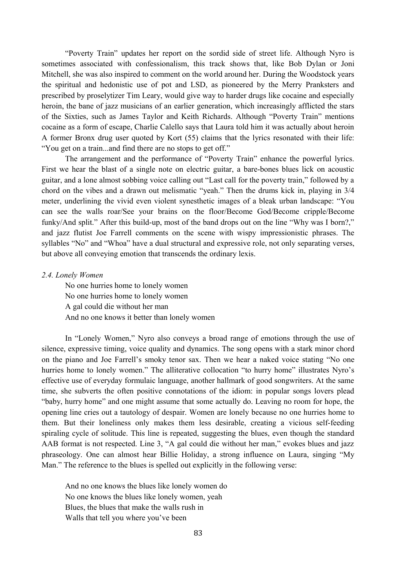"Poverty Train" updates her report on the sordid side of street life. Although Nyro is sometimes associated with confessionalism, this track shows that, like Bob Dylan or Joni Mitchell, she was also inspired to comment on the world around her. During the Woodstock years the spiritual and hedonistic use of pot and LSD, as pioneered by the Merry Pranksters and prescribed by proselytizer Tim Leary, would give way to harder drugs like cocaine and especially heroin, the bane of jazz musicians of an earlier generation, which increasingly afflicted the stars of the Sixties, such as James Taylor and Keith Richards. Although "Poverty Train" mentions cocaine as a form of escape, Charlie Calello says that Laura told him it was actually about heroin A former Bronx drug user quoted by Kort (55) claims that the lyrics resonated with their life: "You get on a train...and find there are no stops to get off."

The arrangement and the performance of "Poverty Train" enhance the powerful lyrics. First we hear the blast of a single note on electric guitar, a bare-bones blues lick on acoustic guitar, and a lone almost sobbing voice calling out "Last call for the poverty train," followed by a chord on the vibes and a drawn out melismatic "yeah." Then the drums kick in, playing in 3/4 meter, underlining the vivid even violent synesthetic images of a bleak urban landscape: "You can see the walls roar/See your brains on the floor/Become God/Become cripple/Become funky/And split." After this build-up, most of the band drops out on the line "Why was I born?," and jazz flutist Joe Farrell comments on the scene with wispy impressionistic phrases. The syllables "No" and "Whoa" have a dual structural and expressive role, not only separating verses, but above all conveying emotion that transcends the ordinary lexis.

#### *2.4. Lonely Women*

No one hurries home to lonely women No one hurries home to lonely women A gal could die without her man And no one knows it better than lonely women

In "Lonely Women," Nyro also conveys a broad range of emotions through the use of silence, expressive timing, voice quality and dynamics. The song opens with a stark minor chord on the piano and Joe Farrell's smoky tenor sax. Then we hear a naked voice stating "No one hurries home to lonely women." The alliterative collocation "to hurry home" illustrates Nyro's effective use of everyday formulaic language, another hallmark of good songwriters. At the same time, she subverts the often positive connotations of the idiom: in popular songs lovers plead "baby, hurry home" and one might assume that some actually do. Leaving no room for hope, the opening line cries out a tautology of despair. Women are lonely because no one hurries home to them. But their loneliness only makes them less desirable, creating a vicious self-feeding spiraling cycle of solitude. This line is repeated, suggesting the blues, even though the standard AAB format is not respected. Line 3, "A gal could die without her man," evokes blues and jazz phraseology. One can almost hear Billie Holiday, a strong influence on Laura, singing "My Man." The reference to the blues is spelled out explicitly in the following verse:

And no one knows the blues like lonely women do No one knows the blues like lonely women, yeah Blues, the blues that make the walls rush in Walls that tell you where you've been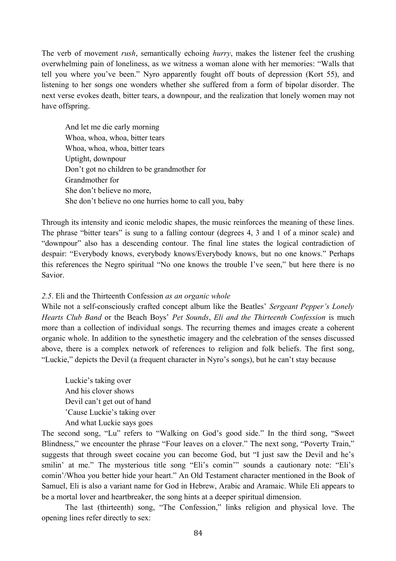The verb of movement *rush*, semantically echoing *hurry*, makes the listener feel the crushing overwhelming pain of loneliness, as we witness a woman alone with her memories: "Walls that tell you where you've been." Nyro apparently fought off bouts of depression (Kort 55), and listening to her songs one wonders whether she suffered from a form of bipolar disorder. The next verse evokes death, bitter tears, a downpour, and the realization that lonely women may not have offspring.

And let me die early morning Whoa, whoa, whoa, bitter tears Whoa, whoa, whoa, bitter tears Uptight, downpour Don't got no children to be grandmother for Grandmother for She don't believe no more, She don't believe no one hurries home to call you, baby

Through its intensity and iconic melodic shapes, the music reinforces the meaning of these lines. The phrase "bitter tears" is sung to a falling contour (degrees 4, 3 and 1 of a minor scale) and "downpour" also has a descending contour. The final line states the logical contradiction of despair: "Everybody knows, everybody knows/Everybody knows, but no one knows." Perhaps this references the Negro spiritual "No one knows the trouble I've seen," but here there is no Savior.

# *2.5*. Eli and the Thirteenth Confession *as an organic whole*

While not a self-consciously crafted concept album like the Beatles' *Sergeant Pepper's Lonely Hearts Club Band* or the Beach Boys' *Pet Sounds*, *Eli and the Thirteenth Confession* is much more than a collection of individual songs. The recurring themes and images create a coherent organic whole. In addition to the synesthetic imagery and the celebration of the senses discussed above, there is a complex network of references to religion and folk beliefs. The first song, "Luckie," depicts the Devil (a frequent character in Nyro's songs), but he can't stay because

Luckie's taking over And his clover shows Devil can't get out of hand 'Cause Luckie's taking over And what Luckie says goes

The second song, "Lu" refers to "Walking on God's good side." In the third song, "Sweet Blindness," we encounter the phrase "Four leaves on a clover." The next song, "Poverty Train," suggests that through sweet cocaine you can become God, but "I just saw the Devil and he's smilin' at me." The mysterious title song "Eli's comin'" sounds a cautionary note: "Eli's comin'/Whoa you better hide your heart." An Old Testament character mentioned in the Book of Samuel, Eli is also a variant name for God in Hebrew, Arabic and Aramaic. While Eli appears to be a mortal lover and heartbreaker, the song hints at a deeper spiritual dimension.

The last (thirteenth) song, "The Confession," links religion and physical love. The opening lines refer directly to sex: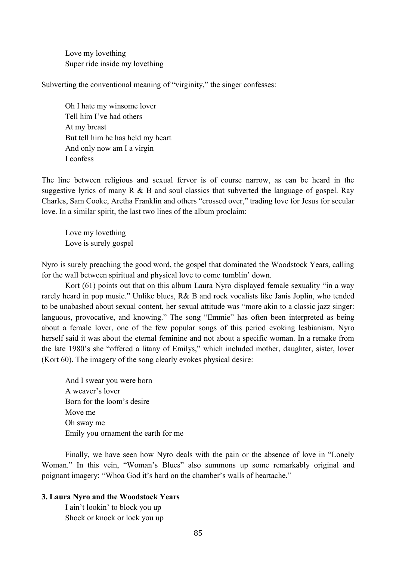Love my lovething Super ride inside my lovething

Subverting the conventional meaning of "virginity," the singer confesses:

Oh I hate my winsome lover Tell him I've had others At my breast But tell him he has held my heart And only now am I a virgin I confess

The line between religious and sexual fervor is of course narrow, as can be heard in the suggestive lyrics of many R & B and soul classics that subverted the language of gospel. Ray Charles, Sam Cooke, Aretha Franklin and others "crossed over," trading love for Jesus for secular love. In a similar spirit, the last two lines of the album proclaim:

Love my lovething Love is surely gospel

Nyro is surely preaching the good word, the gospel that dominated the Woodstock Years, calling for the wall between spiritual and physical love to come tumblin' down.

Kort (61) points out that on this album Laura Nyro displayed female sexuality "in a way rarely heard in pop music." Unlike blues, R& B and rock vocalists like Janis Joplin, who tended to be unabashed about sexual content, her sexual attitude was "more akin to a classic jazz singer: languous, provocative, and knowing." The song "Emmie" has often been interpreted as being about a female lover, one of the few popular songs of this period evoking lesbianism. Nyro herself said it was about the eternal feminine and not about a specific woman. In a remake from the late 1980's she "offered a litany of Emilys," which included mother, daughter, sister, lover (Kort 60). The imagery of the song clearly evokes physical desire:

And I swear you were born A weaver's lover Born for the loom's desire Move me Oh sway me Emily you ornament the earth for me

Finally, we have seen how Nyro deals with the pain or the absence of love in "Lonely Woman." In this vein, "Woman's Blues" also summons up some remarkably original and poignant imagery: "Whoa God it's hard on the chamber's walls of heartache."

## **3. Laura Nyro and the Woodstock Years**

I ain't lookin' to block you up Shock or knock or lock you up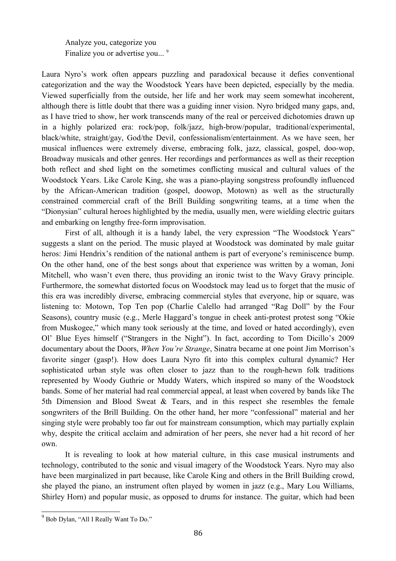Analyze you, categorize you Finalize you or advertise you...<sup>[9](#page-9-0)</sup>

Laura Nyro's work often appears puzzling and paradoxical because it defies conventional categorization and the way the Woodstock Years have been depicted, especially by the media. Viewed superficially from the outside, her life and her work may seem somewhat incoherent, although there is little doubt that there was a guiding inner vision. Nyro bridged many gaps, and, as I have tried to show, her work transcends many of the real or perceived dichotomies drawn up in a highly polarized era: rock/pop, folk/jazz, high-brow/popular, traditional/experimental, black/white, straight/gay, God/the Devil, confessionalism/entertainment. As we have seen, her musical influences were extremely diverse, embracing folk, jazz, classical, gospel, doo-wop, Broadway musicals and other genres. Her recordings and performances as well as their reception both reflect and shed light on the sometimes conflicting musical and cultural values of the Woodstock Years. Like Carole King, she was a piano-playing songstress profoundly influenced by the African-American tradition (gospel, doowop, Motown) as well as the structurally constrained commercial craft of the Brill Building songwriting teams, at a time when the "Dionysian" cultural heroes highlighted by the media, usually men, were wielding electric guitars and embarking on lengthy free-form improvisation.

First of all, although it is a handy label, the very expression "The Woodstock Years" suggests a slant on the period. The music played at Woodstock was dominated by male guitar heros: Jimi Hendrix's rendition of the national anthem is part of everyone's reminiscence bump. On the other hand, one of the best songs about that experience was written by a woman, Joni Mitchell, who wasn't even there, thus providing an ironic twist to the Wavy Gravy principle. Furthermore, the somewhat distorted focus on Woodstock may lead us to forget that the music of this era was incredibly diverse, embracing commercial styles that everyone, hip or square, was listening to: Motown, Top Ten pop (Charlie Calello had arranged "Rag Doll" by the Four Seasons), country music (e.g., Merle Haggard's tongue in cheek anti-protest protest song "Okie from Muskogee," which many took seriously at the time, and loved or hated accordingly), even Ol' Blue Eyes himself ("Strangers in the Night"). In fact, according to Tom Dicillo's 2009 documentary about the Doors, *When You're Strange*, Sinatra became at one point Jim Morrison's favorite singer (gasp!). How does Laura Nyro fit into this complex cultural dynamic? Her sophisticated urban style was often closer to jazz than to the rough-hewn folk traditions represented by Woody Guthrie or Muddy Waters, which inspired so many of the Woodstock bands. Some of her material had real commercial appeal, at least when covered by bands like The 5th Dimension and Blood Sweat  $\&$  Tears, and in this respect she resembles the female songwriters of the Brill Building. On the other hand, her more "confessional" material and her singing style were probably too far out for mainstream consumption, which may partially explain why, despite the critical acclaim and admiration of her peers, she never had a hit record of her own.

It is revealing to look at how material culture, in this case musical instruments and technology, contributed to the sonic and visual imagery of the Woodstock Years. Nyro may also have been marginalized in part because, like Carole King and others in the Brill Building crowd, she played the piano, an instrument often played by women in jazz (e.g., Mary Lou Williams, Shirley Horn) and popular music, as opposed to drums for instance. The guitar, which had been

<span id="page-9-0"></span><sup>&</sup>lt;sup>9</sup> Bob Dylan, "All I Really Want To Do."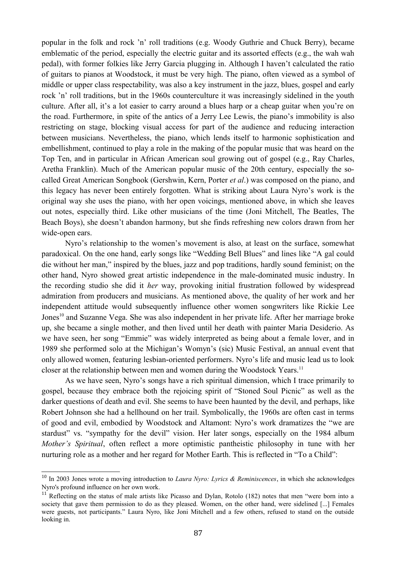popular in the folk and rock 'n' roll traditions (e.g. Woody Guthrie and Chuck Berry), became emblematic of the period, especially the electric guitar and its assorted effects (e.g., the wah wah pedal), with former folkies like Jerry Garcia plugging in. Although I haven't calculated the ratio of guitars to pianos at Woodstock, it must be very high. The piano, often viewed as a symbol of middle or upper class respectability, was also a key instrument in the jazz, blues, gospel and early rock 'n' roll traditions, but in the 1960s counterculture it was increasingly sidelined in the youth culture. After all, it's a lot easier to carry around a blues harp or a cheap guitar when you're on the road. Furthermore, in spite of the antics of a Jerry Lee Lewis, the piano's immobility is also restricting on stage, blocking visual access for part of the audience and reducing interaction between musicians. Nevertheless, the piano, which lends itself to harmonic sophistication and embellishment, continued to play a role in the making of the popular music that was heard on the Top Ten, and in particular in African American soul growing out of gospel (e.g., Ray Charles, Aretha Franklin). Much of the American popular music of the 20th century, especially the socalled Great American Songbook (Gershwin, Kern, Porter *et al*.) was composed on the piano, and this legacy has never been entirely forgotten. What is striking about Laura Nyro's work is the original way she uses the piano, with her open voicings, mentioned above, in which she leaves out notes, especially third. Like other musicians of the time (Joni Mitchell, The Beatles, The Beach Boys), she doesn't abandon harmony, but she finds refreshing new colors drawn from her wide-open ears.

Nyro's relationship to the women's movement is also, at least on the surface, somewhat paradoxical. On the one hand, early songs like "Wedding Bell Blues" and lines like "A gal could die without her man," inspired by the blues, jazz and pop traditions, hardly sound feminist; on the other hand, Nyro showed great artistic independence in the male-dominated music industry. In the recording studio she did it *her* way, provoking initial frustration followed by widespread admiration from producers and musicians. As mentioned above, the quality of her work and her independent attitude would subsequently influence other women songwriters like Rickie Lee Jones<sup>[10](#page-10-0)</sup> and Suzanne Vega. She was also independent in her private life. After her marriage broke up, she became a single mother, and then lived until her death with painter Maria Desiderio. As we have seen, her song "Emmie" was widely interpreted as being about a female lover, and in 1989 she performed solo at the Michigan's Womyn's (sic) Music Festival, an annual event that only allowed women, featuring lesbian-oriented performers. Nyro's life and music lead us to look closer at the relationship between men and women during the Woodstock Years.<sup>[11](#page-10-1)</sup>

As we have seen, Nyro's songs have a rich spiritual dimension, which I trace primarily to gospel, because they embrace both the rejoicing spirit of "Stoned Soul Picnic" as well as the darker questions of death and evil. She seems to have been haunted by the devil, and perhaps, like Robert Johnson she had a hellhound on her trail. Symbolically, the 1960s are often cast in terms of good and evil, embodied by Woodstock and Altamont: Nyro's work dramatizes the "we are stardust" vs. "sympathy for the devil" vision. Her later songs, especially on the 1984 album *Mother's Spiritual*, often reflect a more optimistic pantheistic philosophy in tune with her nurturing role as a mother and her regard for Mother Earth. This is reflected in "To a Child":

<span id="page-10-0"></span><sup>10</sup> In 2003 Jones wrote a moving introduction to *Laura Nyro: Lyrics & Reminiscences*, in which she acknowledges Nyro's profound influence on her own work.

<span id="page-10-1"></span><sup>&</sup>lt;sup>11</sup> Reflecting on the status of male artists like Picasso and Dylan, Rotolo (182) notes that men "were born into a society that gave them permission to do as they pleased. Women, on the other hand, were sidelined [...] Females were guests, not participants." Laura Nyro, like Joni Mitchell and a few others, refused to stand on the outside looking in.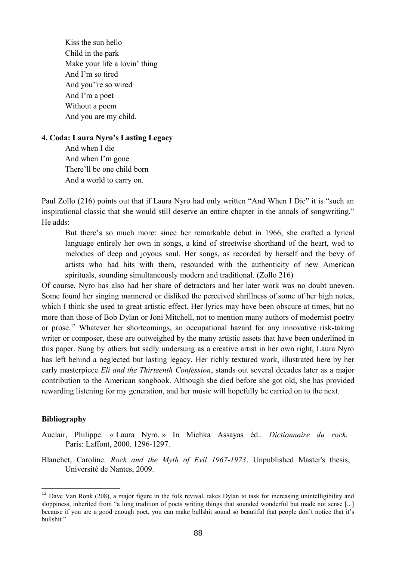Kiss the sun hello Child in the park Make your life a lovin' thing And I'm so tired And you''re so wired And I'm a poet Without a poem And you are my child.

## **4. Coda: Laura Nyro's Lasting Legacy**

And when I die And when I'm gone There'll be one child born And a world to carry on.

Paul Zollo (216) points out that if Laura Nyro had only written "And When I Die" it is "such an inspirational classic that she would still deserve an entire chapter in the annals of songwriting." He adds:

But there's so much more: since her remarkable debut in 1966, she crafted a lyrical language entirely her own in songs, a kind of streetwise shorthand of the heart, wed to melodies of deep and joyous soul. Her songs, as recorded by herself and the bevy of artists who had hits with them, resounded with the authenticity of new American spirituals, sounding simultaneously modern and traditional. (Zollo 216)

Of course, Nyro has also had her share of detractors and her later work was no doubt uneven. Some found her singing mannered or disliked the perceived shrillness of some of her high notes, which I think she used to great artistic effect. Her lyrics may have been obscure at times, but no more than those of Bob Dylan or Joni Mitchell, not to mention many authors of modernist poetry or prose.[12](#page-11-0) Whatever her shortcomings, an occupational hazard for any innovative risk-taking writer or composer, these are outweighed by the many artistic assets that have been underlined in this paper. Sung by others but sadly undersung as a creative artist in her own right, Laura Nyro has left behind a neglected but lasting legacy. Her richly textured work, illustrated here by her early masterpiece *Eli and the Thirteenth Confession*, stands out several decades later as a major contribution to the American songbook. Although she died before she got old, she has provided rewarding listening for my generation, and her music will hopefully be carried on to the next.

## **Bibliography**

- Auclair, Philippe. « Laura Nyro. » In Michka Assayas éd.. *Dictionnaire du rock.* Paris: Laffont, 2000. 1296-1297.
- Blanchet, Caroline. *Rock and the Myth of Evil 1967-1973*. Unpublished Master's thesis, Université de Nantes, 2009.

<span id="page-11-0"></span> $12$  Dave Van Ronk (208), a major figure in the folk revival, takes Dylan to task for increasing unintelligibility and sloppiness, inherited from "a long tradition of poets writing things that sounded wonderful but made not sense [...] because if you are a good enough poet, you can make bullshit sound so beautiful that people don't notice that it's bullshit."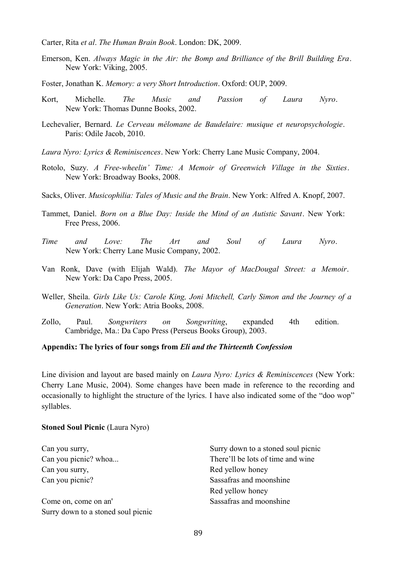Carter, Rita *et al*. *The Human Brain Book*. London: DK, 2009.

- Emerson, Ken. *Always Magic in the Air: the Bomp and Brilliance of the Brill Building Era*. New York: Viking, 2005.
- Foster, Jonathan K. *Memory: a very Short Introduction*. Oxford: OUP, 2009.
- Kort, Michelle. *The Music and Passion of Laura Nyro*. New York: Thomas Dunne Books, 2002.
- Lechevalier, Bernard. *Le Cerveau mélomane de Baudelaire: musique et neuropsychologie*. Paris: Odile Jacob, 2010.
- *Laura Nyro: Lyrics & Reminiscences*. New York: Cherry Lane Music Company, 2004.
- Rotolo, Suzy. *A Free-wheelin' Time: A Memoir of Greenwich Village in the Sixties*. New York: Broadway Books, 2008.
- Sacks, Oliver. *Musicophilia: Tales of Music and the Brain*. New York: Alfred A. Knopf, 2007.
- Tammet, Daniel. *Born on a Blue Day: Inside the Mind of an Autistic Savant*. New York: Free Press, 2006.
- *Time and Love: The Art and Soul of Laura Nyro*. New York: Cherry Lane Music Company, 2002.
- Van Ronk, Dave (with Elijah Wald). *The Mayor of MacDougal Street: a Memoir*. New York: Da Capo Press, 2005.
- Weller, Sheila. *Girls Like Us: Carole King, Joni Mitchell, Carly Simon and the Journey of a Generation*. New York: Atria Books, 2008.
- Zollo, Paul. *Songwriters on Songwriting*, expanded 4th edition. Cambridge, Ma.: Da Capo Press (Perseus Books Group), 2003.

## **Appendix: The lyrics of four songs from** *Eli and the Thirteenth Confession*

Line division and layout are based mainly on *Laura Nyro: Lyrics & Reminiscences* (New York: Cherry Lane Music, 2004). Some changes have been made in reference to the recording and occasionally to highlight the structure of the lyrics. I have also indicated some of the "doo wop" syllables.

## **Stoned Soul Picnic** (Laura Nyro)

| Can you surry,                     | Surry down to a stoned soul picnic |
|------------------------------------|------------------------------------|
| Can you picnic? whoa               | There'll be lots of time and wine  |
| Can you surry,                     | Red yellow honey                   |
| Can you picnic?                    | Sassafras and moonshine            |
|                                    | Red yellow honey                   |
| Come on, come on an'               | Sassafras and moonshine            |
| Surry down to a stoned soul picnic |                                    |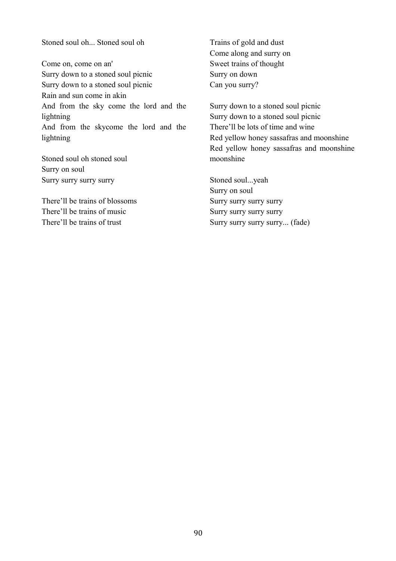Stoned soul oh... Stoned soul oh

Come on, come on an' Surry down to a stoned soul picnic Surry down to a stoned soul picnic Rain and sun come in akin And from the sky come the lord and the lightning And from the skycome the lord and the lightning

Stoned soul oh stoned soul Surry on soul Surry surry surry surry

There'll be trains of blossoms There'll be trains of music There'll be trains of trust

Trains of gold and dust Come along and surry on Sweet trains of thought Surry on down Can you surry?

Surry down to a stoned soul picnic Surry down to a stoned soul picnic There'll be lots of time and wine Red yellow honey sassafras and moonshine Red yellow honey sassafras and moonshine moonshine

Stoned soul...yeah Surry on soul Surry surry surry surry Surry surry surry surry Surry surry surry surry... (fade)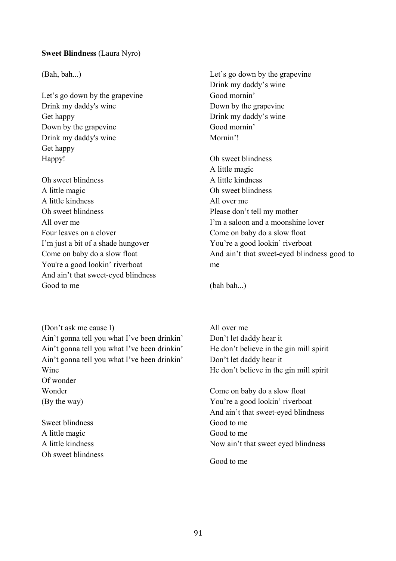## **Sweet Blindness** (Laura Nyro)

(Bah, bah...)

Let's go down by the grapevine Drink my daddy's wine Get happy Down by the grapevine Drink my daddy's wine Get happy Happy!

Oh sweet blindness A little magic A little kindness Oh sweet blindness All over me Four leaves on a clover I'm just a bit of a shade hungover Come on baby do a slow float You're a good lookin' riverboat And ain't that sweet-eyed blindness Good to me

(Don't ask me cause I) Ain't gonna tell you what I've been drinkin' Ain't gonna tell you what I've been drinkin' Ain't gonna tell you what I've been drinkin' Wine Of wonder Wonder (By the way)

Sweet blindness A little magic A little kindness Oh sweet blindness Let's go down by the grapevine Drink my daddy's wine Good mornin' Down by the grapevine Drink my daddy's wine Good mornin' Mornin'!

Oh sweet blindness A little magic A little kindness Oh sweet blindness All over me Please don't tell my mother I'm a saloon and a moonshine lover Come on baby do a slow float You're a good lookin' riverboat And ain't that sweet-eyed blindness good to me

(bah bah...)

All over me Don't let daddy hear it He don't believe in the gin mill spirit Don't let daddy hear it He don't believe in the gin mill spirit

Come on baby do a slow float You're a good lookin' riverboat And ain't that sweet-eyed blindness Good to me Good to me Now ain't that sweet eyed blindness

Good to me